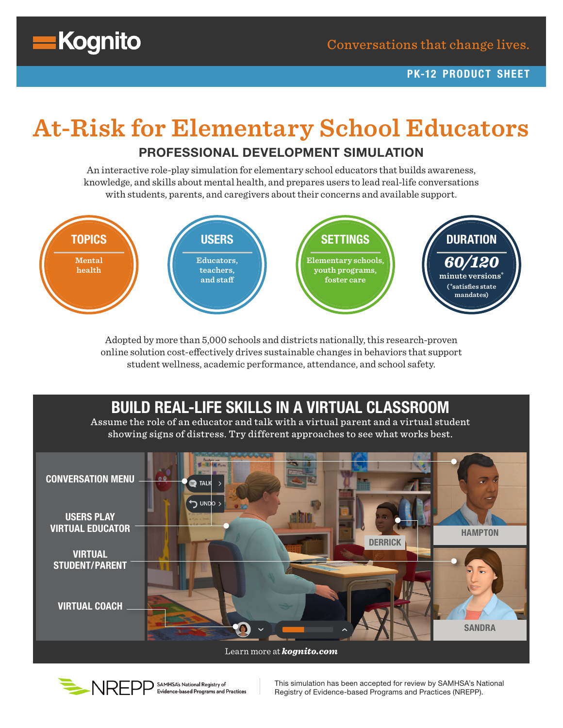

# **At-Risk for Elementary School Educators**

#### PROFESSIONAL DEVELOPMENT SIMULATION

An interactive role-play simulation for elementary school educators that builds awareness, knowledge, and skills about mental health, and prepares users to lead real-life conversations with students, parents, and caregivers about their concerns and available support.



Adopted by more than 5,000 schools and districts nationally, this research-proven online solution cost-effectively drives sustainable changes in behaviors that support student wellness, academic performance, attendance, and school safety.

# BUILD REAL-LIFE SKILLS IN A VIRTUAL CLASSROOM

Assume the role of an educator and talk with a virtual parent and a virtual student showing signs of distress. Try different approaches to see what works best.





This simulation has been accepted for review by SAMHSA's National Registry of Evidence-based Programs and Practices (NREPP).